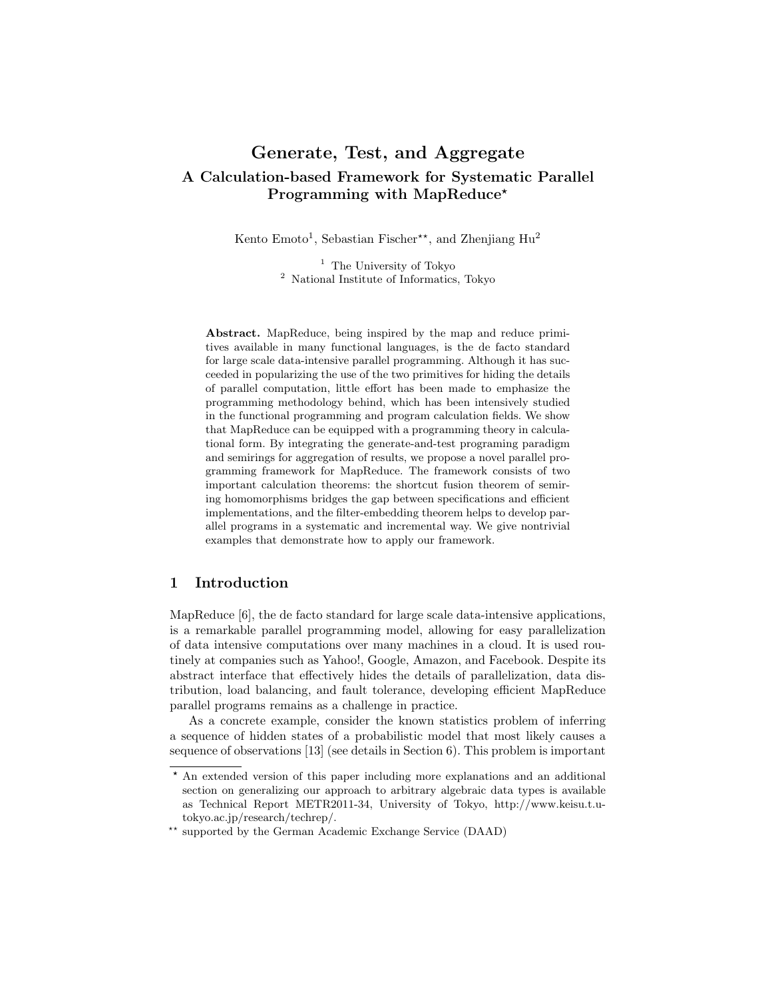# Generate, Test, and Aggregate A Calculation-based Framework for Systematic Parallel Programming with MapReduce<sup>\*</sup>

Kento Emoto<sup>1</sup>, Sebastian Fischer<sup>\*\*</sup>, and Zhenjiang Hu<sup>2</sup>

<sup>1</sup> The University of Tokyo <sup>2</sup> National Institute of Informatics, Tokyo

Abstract. MapReduce, being inspired by the map and reduce primitives available in many functional languages, is the de facto standard for large scale data-intensive parallel programming. Although it has succeeded in popularizing the use of the two primitives for hiding the details of parallel computation, little effort has been made to emphasize the programming methodology behind, which has been intensively studied in the functional programming and program calculation fields. We show that MapReduce can be equipped with a programming theory in calculational form. By integrating the generate-and-test programing paradigm and semirings for aggregation of results, we propose a novel parallel programming framework for MapReduce. The framework consists of two important calculation theorems: the shortcut fusion theorem of semiring homomorphisms bridges the gap between specifications and efficient implementations, and the filter-embedding theorem helps to develop parallel programs in a systematic and incremental way. We give nontrivial examples that demonstrate how to apply our framework.

# 1 Introduction

MapReduce [6], the de facto standard for large scale data-intensive applications, is a remarkable parallel programming model, allowing for easy parallelization of data intensive computations over many machines in a cloud. It is used routinely at companies such as Yahoo!, Google, Amazon, and Facebook. Despite its abstract interface that effectively hides the details of parallelization, data distribution, load balancing, and fault tolerance, developing efficient MapReduce parallel programs remains as a challenge in practice.

As a concrete example, consider the known statistics problem of inferring a sequence of hidden states of a probabilistic model that most likely causes a sequence of observations [13] (see details in Section 6). This problem is important

<sup>?</sup> An extended version of this paper including more explanations and an additional section on generalizing our approach to arbitrary algebraic data types is available as Technical Report METR2011-34, University of Tokyo, http://www.keisu.t.utokyo.ac.jp/research/techrep/.

<sup>\*\*</sup> supported by the German Academic Exchange Service (DAAD)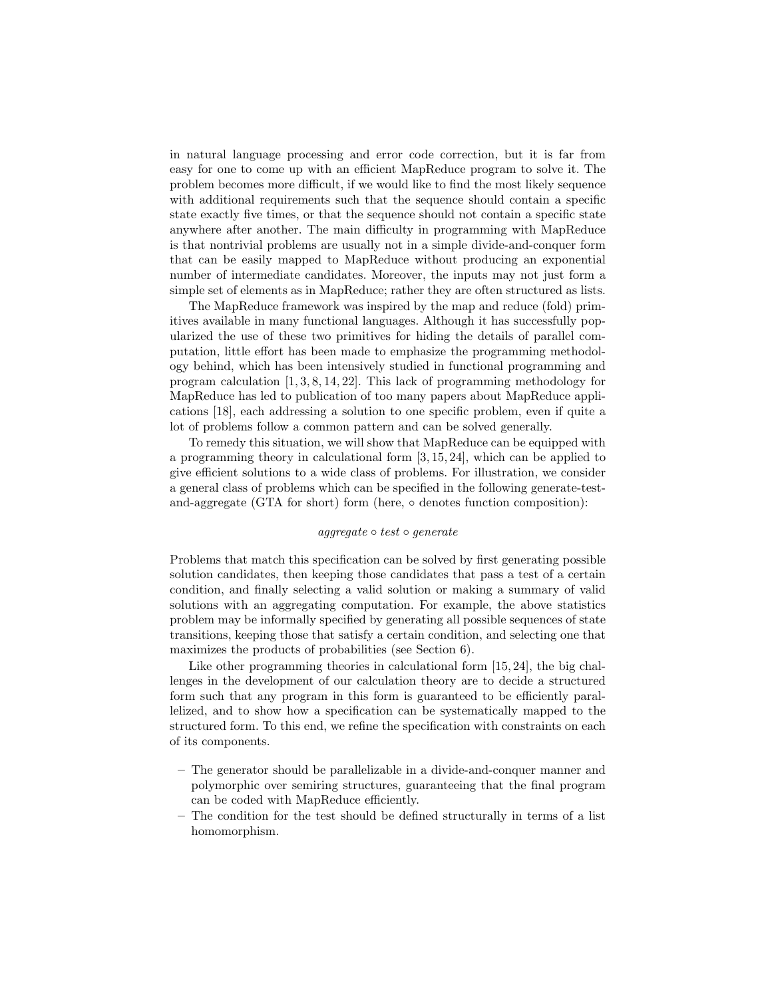in natural language processing and error code correction, but it is far from easy for one to come up with an efficient MapReduce program to solve it. The problem becomes more difficult, if we would like to find the most likely sequence with additional requirements such that the sequence should contain a specific state exactly five times, or that the sequence should not contain a specific state anywhere after another. The main difficulty in programming with MapReduce is that nontrivial problems are usually not in a simple divide-and-conquer form that can be easily mapped to MapReduce without producing an exponential number of intermediate candidates. Moreover, the inputs may not just form a simple set of elements as in MapReduce; rather they are often structured as lists.

The MapReduce framework was inspired by the map and reduce (fold) primitives available in many functional languages. Although it has successfully popularized the use of these two primitives for hiding the details of parallel computation, little effort has been made to emphasize the programming methodology behind, which has been intensively studied in functional programming and program calculation [1, 3, 8, 14, 22]. This lack of programming methodology for MapReduce has led to publication of too many papers about MapReduce applications [18], each addressing a solution to one specific problem, even if quite a lot of problems follow a common pattern and can be solved generally.

To remedy this situation, we will show that MapReduce can be equipped with a programming theory in calculational form [3, 15, 24], which can be applied to give efficient solutions to a wide class of problems. For illustration, we consider a general class of problems which can be specified in the following generate-testand-aggregate (GTA for short) form (here,  $\circ$  denotes function composition):

### $aq\bar{q} \neq 0$  test  $\circ$  generate

Problems that match this specification can be solved by first generating possible solution candidates, then keeping those candidates that pass a test of a certain condition, and finally selecting a valid solution or making a summary of valid solutions with an aggregating computation. For example, the above statistics problem may be informally specified by generating all possible sequences of state transitions, keeping those that satisfy a certain condition, and selecting one that maximizes the products of probabilities (see Section 6).

Like other programming theories in calculational form [15, 24], the big challenges in the development of our calculation theory are to decide a structured form such that any program in this form is guaranteed to be efficiently parallelized, and to show how a specification can be systematically mapped to the structured form. To this end, we refine the specification with constraints on each of its components.

- The generator should be parallelizable in a divide-and-conquer manner and polymorphic over semiring structures, guaranteeing that the final program can be coded with MapReduce efficiently.
- The condition for the test should be defined structurally in terms of a list homomorphism.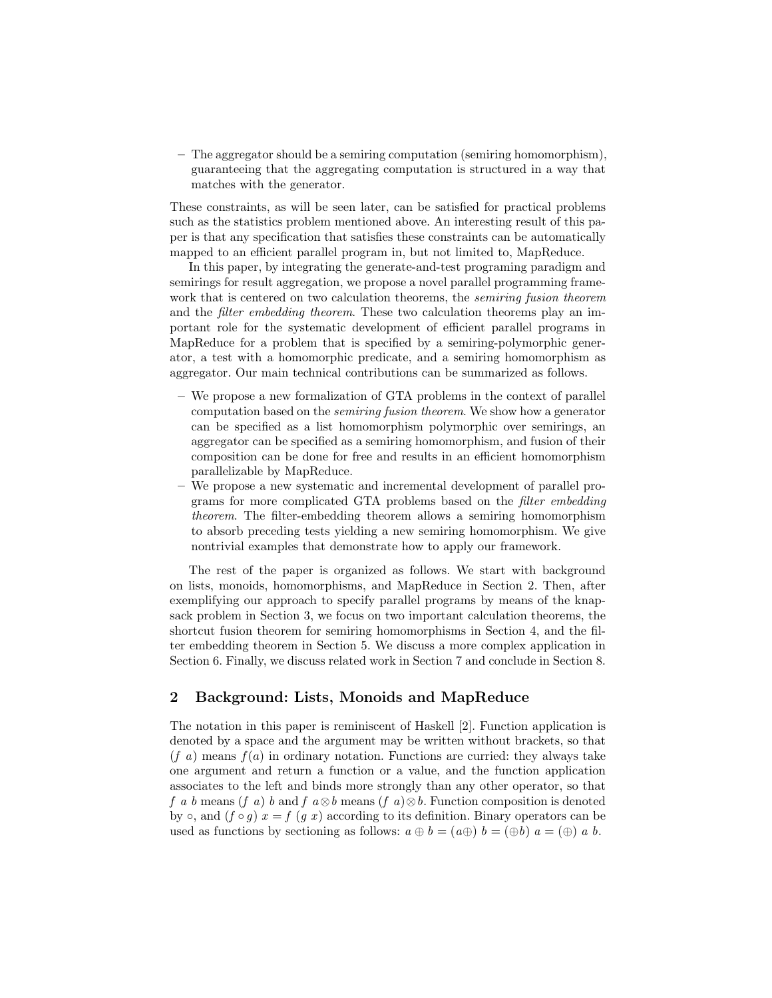– The aggregator should be a semiring computation (semiring homomorphism), guaranteeing that the aggregating computation is structured in a way that matches with the generator.

These constraints, as will be seen later, can be satisfied for practical problems such as the statistics problem mentioned above. An interesting result of this paper is that any specification that satisfies these constraints can be automatically mapped to an efficient parallel program in, but not limited to, MapReduce.

In this paper, by integrating the generate-and-test programing paradigm and semirings for result aggregation, we propose a novel parallel programming framework that is centered on two calculation theorems, the *semiring fusion theorem* and the *filter embedding theorem*. These two calculation theorems play an important role for the systematic development of efficient parallel programs in MapReduce for a problem that is specified by a semiring-polymorphic generator, a test with a homomorphic predicate, and a semiring homomorphism as aggregator. Our main technical contributions can be summarized as follows.

- We propose a new formalization of GTA problems in the context of parallel computation based on the semiring fusion theorem. We show how a generator can be specified as a list homomorphism polymorphic over semirings, an aggregator can be specified as a semiring homomorphism, and fusion of their composition can be done for free and results in an efficient homomorphism parallelizable by MapReduce.
- We propose a new systematic and incremental development of parallel programs for more complicated GTA problems based on the filter embedding theorem. The filter-embedding theorem allows a semiring homomorphism to absorb preceding tests yielding a new semiring homomorphism. We give nontrivial examples that demonstrate how to apply our framework.

The rest of the paper is organized as follows. We start with background on lists, monoids, homomorphisms, and MapReduce in Section 2. Then, after exemplifying our approach to specify parallel programs by means of the knapsack problem in Section 3, we focus on two important calculation theorems, the shortcut fusion theorem for semiring homomorphisms in Section 4, and the filter embedding theorem in Section 5. We discuss a more complex application in Section 6. Finally, we discuss related work in Section 7 and conclude in Section 8.

# 2 Background: Lists, Monoids and MapReduce

The notation in this paper is reminiscent of Haskell [2]. Function application is denoted by a space and the argument may be written without brackets, so that  $(f \, a)$  means  $f(a)$  in ordinary notation. Functions are curried: they always take one argument and return a function or a value, and the function application associates to the left and binds more strongly than any other operator, so that f a b means (f a) b and f a⊗b means (f a)⊗b. Function composition is denoted by  $\circ$ , and  $(f \circ g)$   $x = f(gx)$  according to its definition. Binary operators can be used as functions by sectioning as follows:  $a \oplus b = (a \oplus b) \oplus b = (a \oplus b) \oplus a \oplus b$ .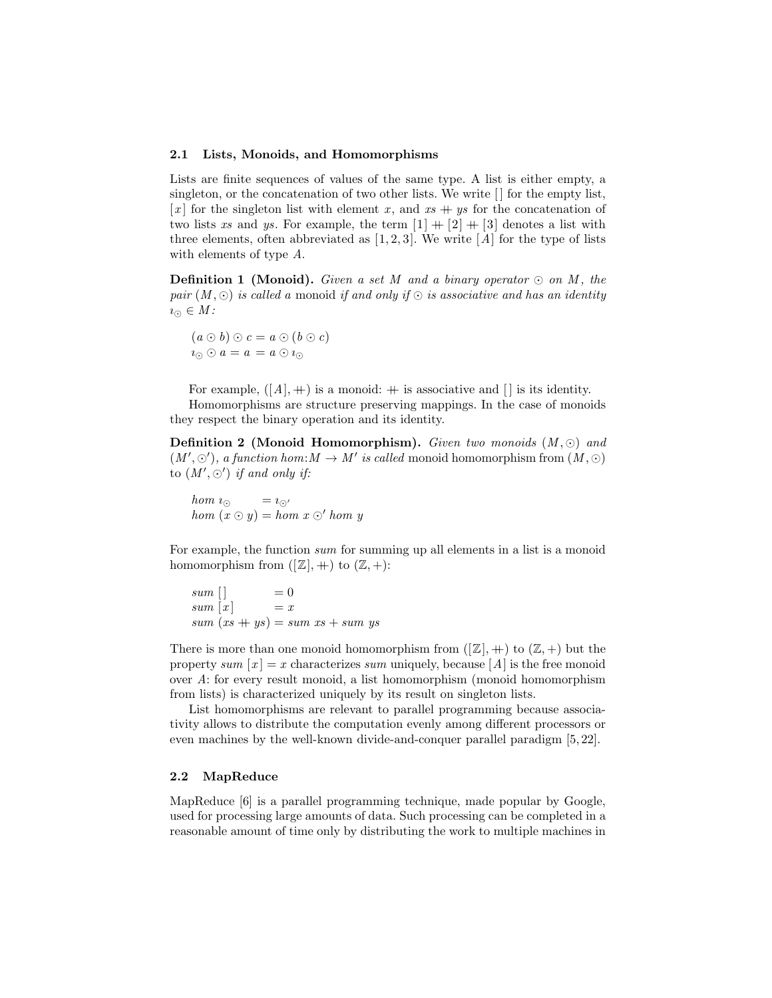#### 2.1 Lists, Monoids, and Homomorphisms

Lists are finite sequences of values of the same type. A list is either empty, a singleton, or the concatenation of two other lists. We write  $[]$  for the empty list, [x] for the singleton list with element x, and  $xs + ys$  for the concatenation of two lists xs and ys. For example, the term  $[1] + [2] + [3]$  denotes a list with three elements, often abbreviated as  $[1, 2, 3]$ . We write  $[A]$  for the type of lists with elements of type A.

**Definition 1** (Monoid). Given a set M and a binary operator  $\odot$  on M, the pair  $(M, \odot)$  is called a monoid if and only if  $\odot$  is associative and has an identity  $i_{\odot} \in M$ :

$$
(a \odot b) \odot c = a \odot (b \odot c)
$$
  

$$
i_{\odot} \odot a = a = a \odot i_{\odot}
$$

For example,  $([A], +)$  is a monoid:  $+$  is associative and  $[$  is its identity.

Homomorphisms are structure preserving mappings. In the case of monoids they respect the binary operation and its identity.

**Definition 2** (Monoid Homomorphism). Given two monoids  $(M, \odot)$  and  $(M', \odot')$ , a function hom:  $M \to M'$  is called monoid homomorphism from  $(M, \odot)$ to  $(M', \odot')$  if and only if:

hom  $i_{\Omega} = i_{\Omega'}$  $hom(x \odot y) = hom(x \odot' hom y)$ 

For example, the function sum for summing up all elements in a list is a monoid homomorphism from  $([\mathbb{Z}], +)$  to  $(\mathbb{Z}, +)$ :

 $sum \mid$   $= 0$  $sum \stackrel{1}{[x]} = x$  $sum (xs + ys) = sum xs + sum ys$ 

There is more than one monoid homomorphism from  $([\mathbb{Z}], +)$  to  $(\mathbb{Z}, +)$  but the property sum  $[x] = x$  characterizes sum uniquely, because [A] is the free monoid over A: for every result monoid, a list homomorphism (monoid homomorphism from lists) is characterized uniquely by its result on singleton lists.

List homomorphisms are relevant to parallel programming because associativity allows to distribute the computation evenly among different processors or even machines by the well-known divide-and-conquer parallel paradigm [5, 22].

### 2.2 MapReduce

MapReduce [6] is a parallel programming technique, made popular by Google, used for processing large amounts of data. Such processing can be completed in a reasonable amount of time only by distributing the work to multiple machines in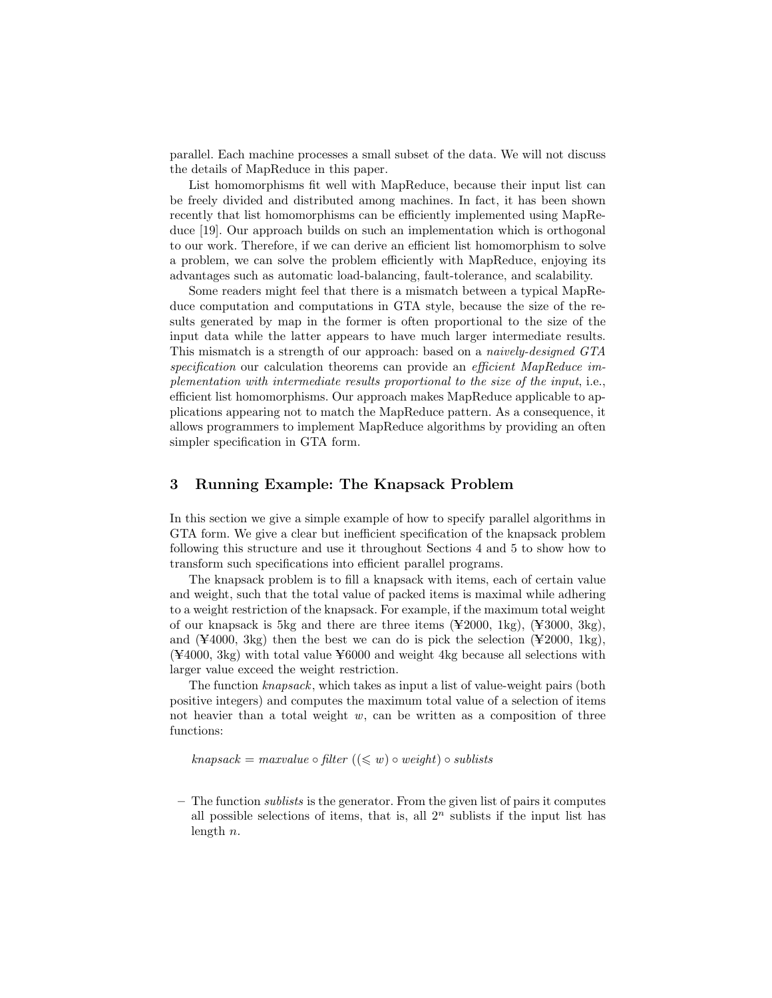parallel. Each machine processes a small subset of the data. We will not discuss the details of MapReduce in this paper.

List homomorphisms fit well with MapReduce, because their input list can be freely divided and distributed among machines. In fact, it has been shown recently that list homomorphisms can be efficiently implemented using MapReduce [19]. Our approach builds on such an implementation which is orthogonal to our work. Therefore, if we can derive an efficient list homomorphism to solve a problem, we can solve the problem efficiently with MapReduce, enjoying its advantages such as automatic load-balancing, fault-tolerance, and scalability.

Some readers might feel that there is a mismatch between a typical MapReduce computation and computations in GTA style, because the size of the results generated by map in the former is often proportional to the size of the input data while the latter appears to have much larger intermediate results. This mismatch is a strength of our approach: based on a naively-designed GTA specification our calculation theorems can provide an efficient MapReduce implementation with intermediate results proportional to the size of the input, i.e., efficient list homomorphisms. Our approach makes MapReduce applicable to applications appearing not to match the MapReduce pattern. As a consequence, it allows programmers to implement MapReduce algorithms by providing an often simpler specification in GTA form.

## 3 Running Example: The Knapsack Problem

In this section we give a simple example of how to specify parallel algorithms in GTA form. We give a clear but inefficient specification of the knapsack problem following this structure and use it throughout Sections 4 and 5 to show how to transform such specifications into efficient parallel programs.

The knapsack problem is to fill a knapsack with items, each of certain value and weight, such that the total value of packed items is maximal while adhering to a weight restriction of the knapsack. For example, if the maximum total weight of our knapsack is 5kg and there are three items  $(\text{\textless} 2000, 1 \text{kg})$ ,  $(\text{\textless} 3000, 3 \text{kg})$ , and  $(\text{\texttt{Y4000}}, 3\text{kg})$  then the best we can do is pick the selection  $(\text{\texttt{Y2000}}, 1\text{kg})$ , (¥4000, 3kg) with total value ¥6000 and weight 4kg because all selections with larger value exceed the weight restriction.

The function knapsack, which takes as input a list of value-weight pairs (both positive integers) and computes the maximum total value of a selection of items not heavier than a total weight  $w$ , can be written as a composition of three functions:

```
knapsack = maxvalue \circ filter ((\leqslant w) \circ weight) \circ sublists
```
 $-$  The function *sublists* is the generator. From the given list of pairs it computes all possible selections of items, that is, all  $2^n$  sublists if the input list has length n.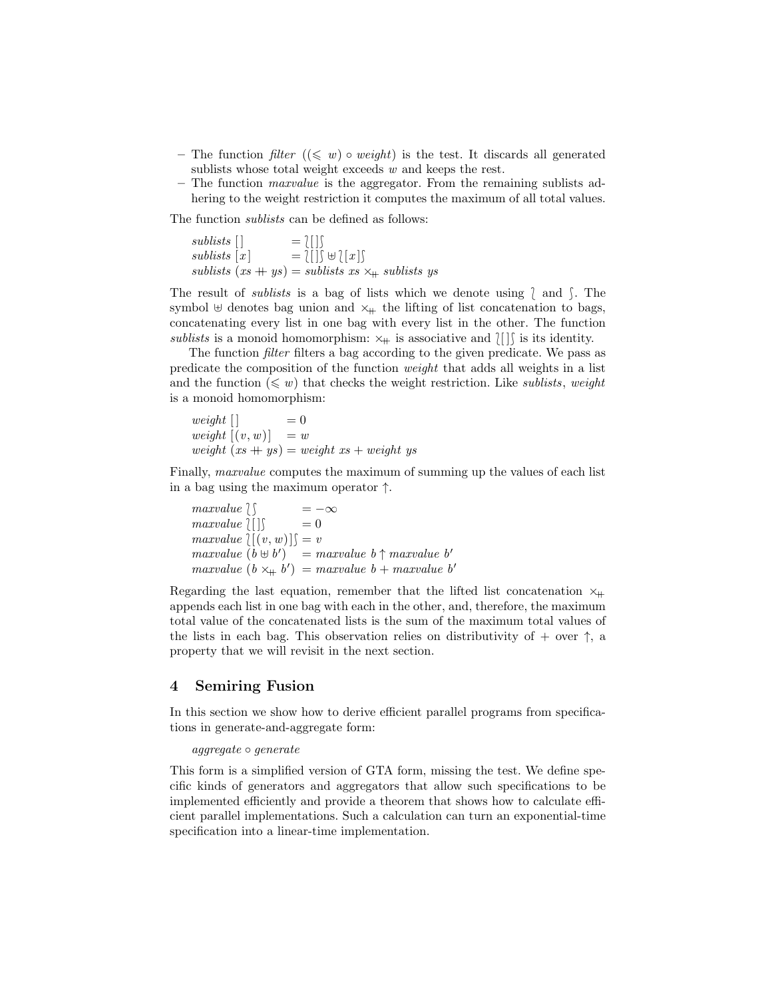- The function filter  $((\leq v) \circ weight)$  is the test. It discards all generated sublists whose total weight exceeds w and keeps the rest.
- The function maxvalue is the aggregator. From the remaining sublists adhering to the weight restriction it computes the maximum of all total values.

The function sublists can be defined as follows:

| sublists     | $= 7115$                                                                             |  |
|--------------|--------------------------------------------------------------------------------------|--|
| sublists [x] | $=$ $\left[ \begin{array}{c} \left[ \begin{array}{ c} x \end{array} \right] \right]$ |  |
|              | sublists $(xs + ys) = sublists xs \times_{\#} sublists ys$                           |  |

The result of *sublists* is a bag of lists which we denote using  $\hat{ }$  and  $\hat{ }$ . The symbol  $\uplus$  denotes bag union and  $\times_{+}$  the lifting of list concatenation to bags, concatenating every list in one bag with every list in the other. The function sublists is a monoid homomorphism:  $\times_{\mathfrak{m}}$  is associative and  $[[\ ]]$  is its identity.

The function filter filters a bag according to the given predicate. We pass as predicate the composition of the function weight that adds all weights in a list and the function  $(\leq v)$  that checks the weight restriction. Like sublists, weight is a monoid homomorphism:

```
weight | = 0
weight [(v, w)] = wweight (xs + ys) = weight xs + weight ys
```
Finally, maxvalue computes the maximum of summing up the values of each list in a bag using the maximum operator ↑.

| $max value \sqrt{\}$ |                                    | $=-\infty$                                                           |
|----------------------|------------------------------------|----------------------------------------------------------------------|
| $max value$ [[]      |                                    | $= 0$                                                                |
|                      | $max value \mid [(v, w)] \mid = v$ |                                                                      |
|                      |                                    | $max value (b \oplus b') = max value b \uparrow max value b'$        |
|                      |                                    | maxvalue $(b \times_{\mathfrak{m}} b') =$ maxvalue $b$ + maxvalue b' |

Regarding the last equation, remember that the lifted list concatenation  $x_{+}$ appends each list in one bag with each in the other, and, therefore, the maximum total value of the concatenated lists is the sum of the maximum total values of the lists in each bag. This observation relies on distributivity of + over  $\uparrow$ , a property that we will revisit in the next section.

## 4 Semiring Fusion

In this section we show how to derive efficient parallel programs from specifications in generate-and-aggregate form:

### aggregate ◦ generate

This form is a simplified version of GTA form, missing the test. We define specific kinds of generators and aggregators that allow such specifications to be implemented efficiently and provide a theorem that shows how to calculate efficient parallel implementations. Such a calculation can turn an exponential-time specification into a linear-time implementation.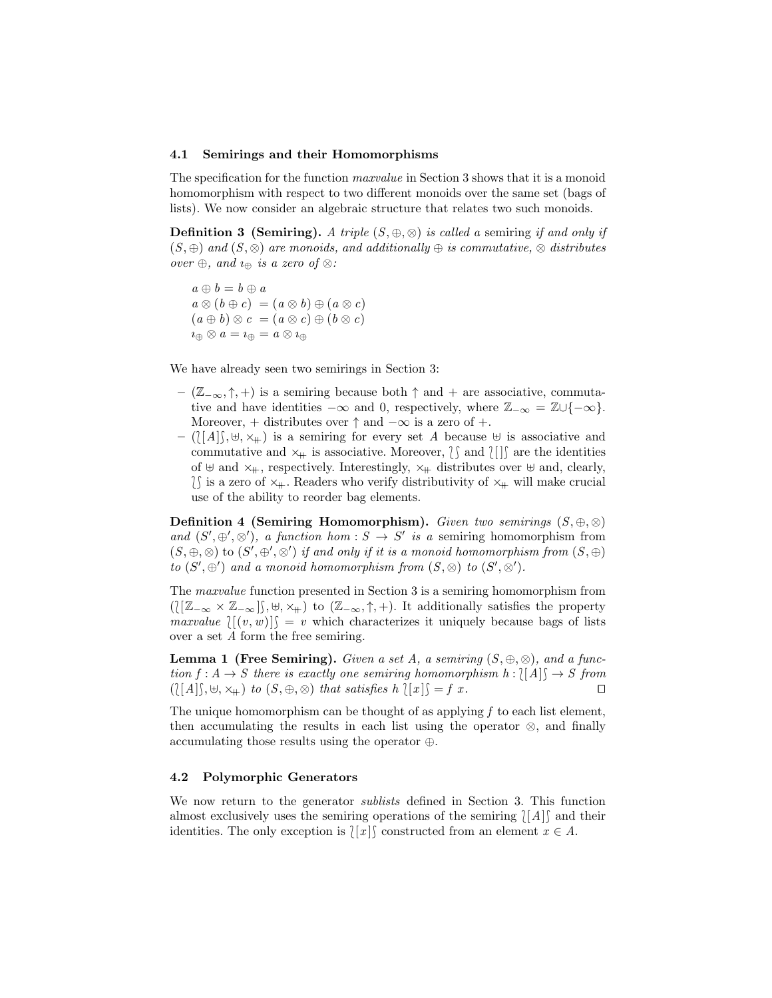#### 4.1 Semirings and their Homomorphisms

The specification for the function maxvalue in Section 3 shows that it is a monoid homomorphism with respect to two different monoids over the same set (bags of lists). We now consider an algebraic structure that relates two such monoids.

**Definition 3 (Semiring).** A triple  $(S, \oplus, \otimes)$  is called a semiring if and only if  $(S, \oplus)$  and  $(S, \otimes)$  are monoids, and additionally  $\oplus$  is commutative,  $\otimes$  distributes over  $\oplus$ , and  $\iota_{\oplus}$  is a zero of  $\otimes$ :

 $a \oplus b = b \oplus a$  $a \otimes (b \oplus c) = (a \otimes b) \oplus (a \otimes c)$  $(a \oplus b) \otimes c = (a \otimes c) \oplus (b \otimes c)$  $i_{\oplus} \otimes a = i_{\oplus} = a \otimes i_{\oplus}$ 

We have already seen two semirings in Section 3:

- $(\mathbb{Z}_{-\infty}, \uparrow, +)$  is a semiring because both  $\uparrow$  and  $+$  are associative, commutative and have identities  $-\infty$  and 0, respectively, where  $\mathbb{Z}_{-\infty} = \mathbb{Z} \cup \{-\infty\}.$ Moreover, + distributes over  $\uparrow$  and  $-\infty$  is a zero of +.
- $-$  ([A],  $\forall$ ,  $\times$ <sub>\tip</sub>) is a semiring for every set A because  $\forall$  is associative and commutative and  $x_{\text{+}}$  is associative. Moreover,  $\iint$  and  $\iint$ of  $\uplus$  and  $\times_{\text{#}}$ , respectively. Interestingly,  $\times_{\text{#}}$  distributes over  $\uplus$  and, clearly,  $\int \int$  is a zero of  $x_{+}$ . Readers who verify distributivity of  $x_{+}$  will make crucial use of the ability to reorder bag elements.

**Definition 4 (Semiring Homomorphism).** Given two semirings  $(S, \oplus, \otimes)$ and  $(S', \oplus', \otimes')$ , a function hom :  $S \to S'$  is a semiring homomorphism from  $(S, \oplus, \otimes)$  to  $(S', \oplus', \otimes')$  if and only if it is a monoid homomorphism from  $(S, \oplus)$ to  $(S', \oplus')$  and a monoid homomorphism from  $(S, \otimes)$  to  $(S', \otimes')$ .

The maxvalue function presented in Section 3 is a semiring homomorphism from  $([[\mathbb{Z}_{-\infty} \times \mathbb{Z}_{-\infty}]]$ ,  $\forall$ ,  $\times$   $\psi$  to  $(\mathbb{Z}_{-\infty}, \uparrow, +)$ . It additionally satisfies the property *maxvalue*  $[(v, w)] = v$  which characterizes it uniquely because bags of lists over a set A form the free semiring.

**Lemma 1 (Free Semiring).** Given a set A, a semiring  $(S, \oplus, \otimes)$ , and a function f : <sup>A</sup> <sup>→</sup> S there is exactly one semiring homomorphism h : \*[A]<sup>+</sup> <sup>→</sup> S from  $(|[A]_1^{\prime}, \uplus, \times_{\mathfrak{m}})$  to  $(S, \oplus, \otimes)$  that satisfies h  $|[x|]_1^{\prime} = f$  x.

The unique homomorphism can be thought of as applying  $f$  to each list element, then accumulating the results in each list using the operator  $\otimes$ , and finally accumulating those results using the operator ⊕.

### 4.2 Polymorphic Generators

We now return to the generator *sublists* defined in Section 3. This function almost exclusively uses the semiring operations of the semiring  $\lfloor |A| \rfloor$  and their identities. The only exception is  $\{[x]\}\$ constructed from an element  $x \in A$ .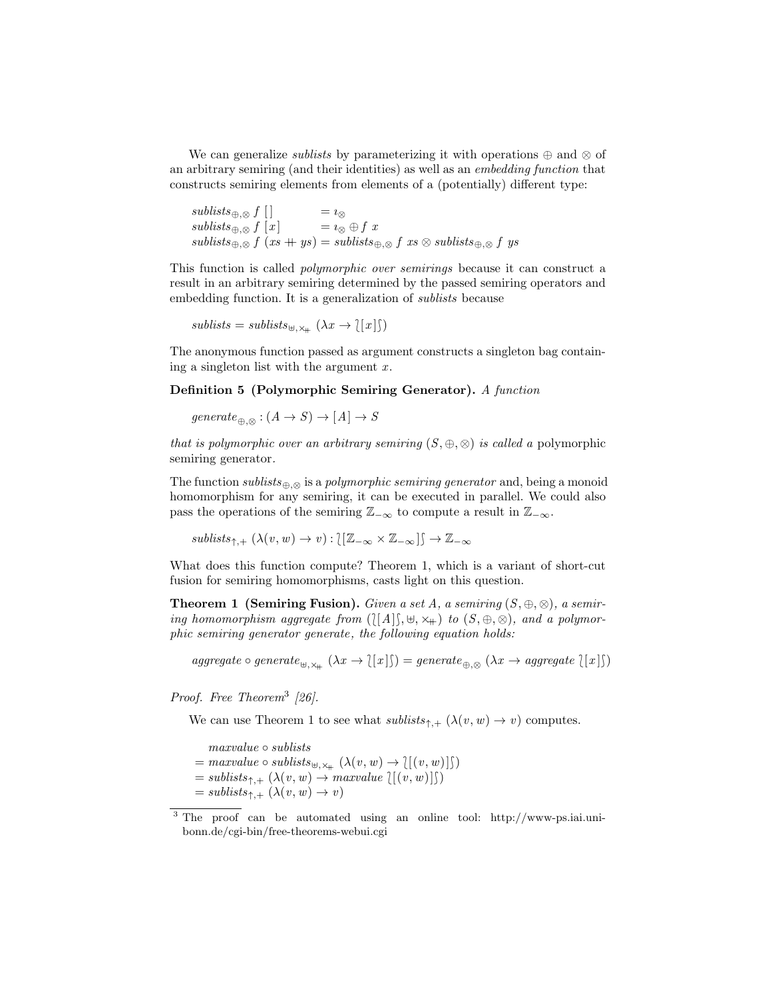We can generalize *sublists* by parameterizing it with operations  $\oplus$  and  $\otimes$  of an arbitrary semiring (and their identities) as well as an embedding function that constructs semiring elements from elements of a (potentially) different type:

```
sublists_{\oplus,\otimes} f [ ] = i_{\otimes}sublists_{\oplus,\otimes} f[x] = i_{\otimes} \oplus f[x]sublists_{\oplus,\otimes} f (xs + ys) = sublists_{\oplus,\otimes} f xs \otimes sublists_{\oplus,\otimes} f ys
```
This function is called polymorphic over semirings because it can construct a result in an arbitrary semiring determined by the passed semiring operators and embedding function. It is a generalization of *sublists* because

```
sublists = sublists_{\text{H},\times_{\text{H}}} (\lambda x \rightarrow \text{T}[x])
```
The anonymous function passed as argument constructs a singleton bag containing a singleton list with the argument  $x$ .

Definition 5 (Polymorphic Semiring Generator). A function

 $generate_{\bigoplus, \otimes} : (A \to S) \to [A] \to S$ 

that is polymorphic over an arbitrary semiring  $(S, \oplus, \otimes)$  is called a polymorphic semiring generator.

The function sublists<sub>⊕,⊗</sub> is a *polymorphic semiring generator* and, being a monoid homomorphism for any semiring, it can be executed in parallel. We could also pass the operations of the semiring  $\mathbb{Z}_{-\infty}$  to compute a result in  $\mathbb{Z}_{-\infty}$ .

 $sublists_{+} (\lambda(v, w) \to v) : [Z_{-\infty} \times Z_{-\infty}] \rightarrow Z_{-\infty}$ 

What does this function compute? Theorem 1, which is a variant of short-cut fusion for semiring homomorphisms, casts light on this question.

**Theorem 1 (Semiring Fusion).** Given a set A, a semiring  $(S, \oplus, \otimes)$ , a semiring homomorphism aggregate from  $([A]_1,\oplus,\times_+)$  to  $(S,\oplus,\otimes)$ , and a polymorphic semiring generator generate, the following equation holds:

 $aggregate \circ generate_{\forall, \times_{\#}} (\lambda x \to ([x]) ) = generate_{\oplus, \otimes} (\lambda x \to aggregate [x])$ 

Proof. Free Theorem<sup>3</sup> [26].

We can use Theorem 1 to see what  $sublists_{\uparrow,+} (\lambda(v, w) \to v)$  computes.

 $maxvalue \circ$  sublists  $= maxvalue \circ sublists_{\forall x, x_{\#}} (\lambda(v, w) \rightarrow [[(v, w)]])$  $=$  sublists<sub>↑,+</sub> ( $\lambda(v, w) \rightarrow$  maxvalue  $\{[(v, w)]\}$ )  $=$  sublists<sub>↑,+</sub>  $(\lambda(v, w) \rightarrow v)$ 

<sup>3</sup> The proof can be automated using an online tool: http://www-ps.iai.unibonn.de/cgi-bin/free-theorems-webui.cgi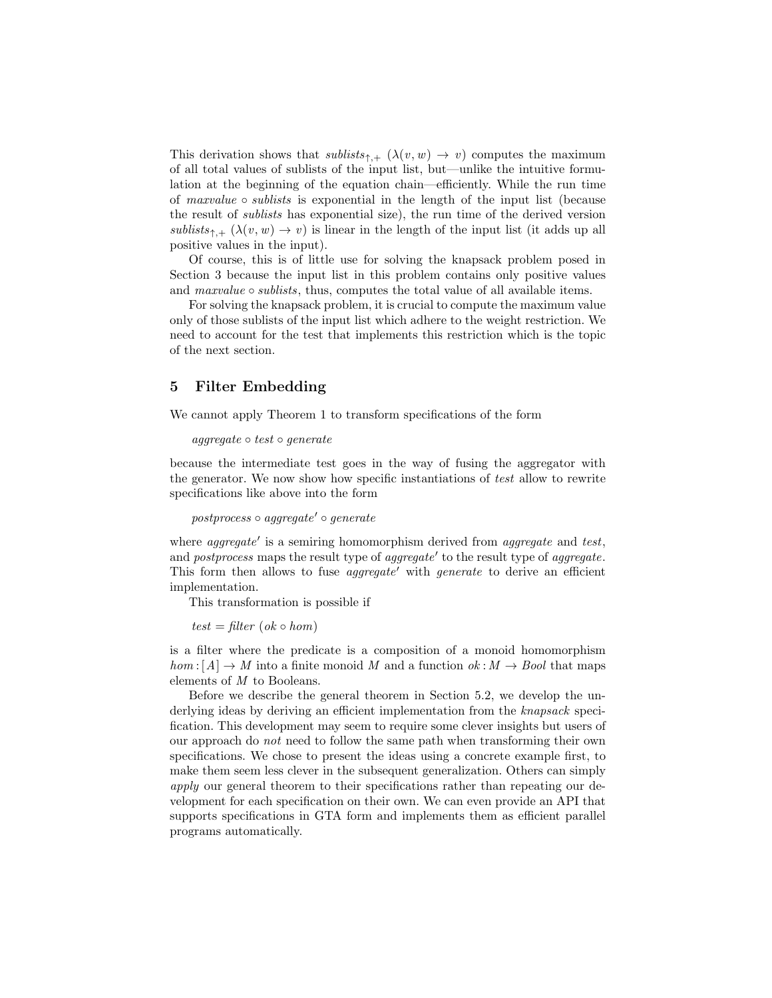This derivation shows that sublists<sub>↑+</sub>  $(\lambda(v, w) \rightarrow v)$  computes the maximum of all total values of sublists of the input list, but—unlike the intuitive formulation at the beginning of the equation chain—efficiently. While the run time of maxvalue  $\circ$  sublists is exponential in the length of the input list (because the result of sublists has exponential size), the run time of the derived version  $sublists_{\uparrow,+}(\lambda(v,w) \to v)$  is linear in the length of the input list (it adds up all positive values in the input).

Of course, this is of little use for solving the knapsack problem posed in Section 3 because the input list in this problem contains only positive values and  $maxvalue \circ sublists$ , thus, computes the total value of all available items.

For solving the knapsack problem, it is crucial to compute the maximum value only of those sublists of the input list which adhere to the weight restriction. We need to account for the test that implements this restriction which is the topic of the next section.

## 5 Filter Embedding

We cannot apply Theorem 1 to transform specifications of the form

```
aggregate ◦ test ◦ generate
```
because the intermediate test goes in the way of fusing the aggregator with the generator. We now show how specific instantiations of test allow to rewrite specifications like above into the form

 $postprocess \circ aggregate' \circ generate$ 

where *aggregate'* is a semiring homomorphism derived from *aggregate* and test, and postprocess maps the result type of aggregate' to the result type of aggregate. This form then allows to fuse *aggregate'* with *generate* to derive an efficient implementation.

This transformation is possible if

 $test = filter (ok \circ hom)$ 

is a filter where the predicate is a composition of a monoid homomorphism  $hom:[A] \to M$  into a finite monoid M and a function  $ok: M \to Bool$  that maps elements of M to Booleans.

Before we describe the general theorem in Section 5.2, we develop the underlying ideas by deriving an efficient implementation from the knapsack specification. This development may seem to require some clever insights but users of our approach do not need to follow the same path when transforming their own specifications. We chose to present the ideas using a concrete example first, to make them seem less clever in the subsequent generalization. Others can simply apply our general theorem to their specifications rather than repeating our development for each specification on their own. We can even provide an API that supports specifications in GTA form and implements them as efficient parallel programs automatically.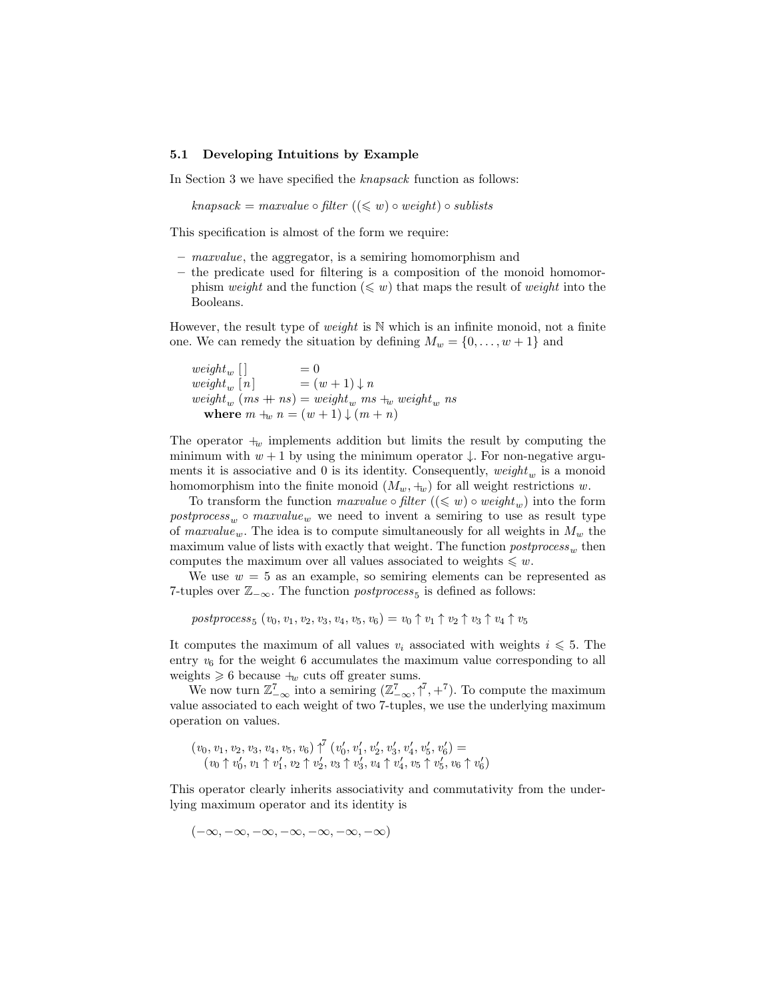#### 5.1 Developing Intuitions by Example

In Section 3 we have specified the knapsack function as follows:

knapsack = maxvalue  $\circ$  filter (( $\leqslant w$ )  $\circ$  weight)  $\circ$  sublists

This specification is almost of the form we require:

- maxvalue, the aggregator, is a semiring homomorphism and
- the predicate used for filtering is a composition of the monoid homomorphism weight and the function  $(\leqslant w)$  that maps the result of weight into the Booleans.

However, the result type of *weight* is  $\mathbb N$  which is an infinite monoid, not a finite one. We can remedy the situation by defining  $M_w = \{0, \ldots, w+1\}$  and

 $weight_w$  []  $= 0$ weight<sub>w</sub>  $[n]$  =  $(w + 1) \downarrow n$  $weight_w$   $(ms + ns) = weight_w$  ms  $+_w$  weight<sub>w</sub> ns where  $m +_w n = (w + 1) \downarrow (m + n)$ 

The operator  $+_{w}$  implements addition but limits the result by computing the minimum with  $w + 1$  by using the minimum operator  $\downarrow$ . For non-negative arguments it is associative and 0 is its identity. Consequently,  $weight_w$  is a monoid homomorphism into the finite monoid  $(M_w, \dot{w}_w)$  for all weight restrictions w.

To transform the function maxvalue  $\circ$  filter  $((\leqslant w) \circ weight_w)$  into the form  $postprocess_w \circ maximize_w$  we need to invent a semiring to use as result type of maxvalue<sub>w</sub>. The idea is to compute simultaneously for all weights in  $M_w$  the maximum value of lists with exactly that weight. The function  $postprocess_w$  then computes the maximum over all values associated to weights  $\leq w$ .

We use  $w = 5$  as an example, so semiring elements can be represented as 7-tuples over  $\mathbb{Z}_{-\infty}$ . The function  $postprocess_5$  is defined as follows:

 $postprocess_{5}(v_{0}, v_{1}, v_{2}, v_{3}, v_{4}, v_{5}, v_{6}) = v_{0} \uparrow v_{1} \uparrow v_{2} \uparrow v_{3} \uparrow v_{4} \uparrow v_{5}$ 

It computes the maximum of all values  $v_i$  associated with weights  $i \leq 5$ . The entry  $v_6$  for the weight 6 accumulates the maximum value corresponding to all weights  $\geq 6$  because  $+_{w}$  cuts off greater sums.

We now turn  $\mathbb{Z}_{-\infty}^7$  into a semiring  $(\mathbb{Z}_{-\infty}^7, \hat{\uparrow}, +^7)$ . To compute the maximum value associated to each weight of two 7-tuples, we use the underlying maximum operation on values.

$$
(v_0, v_1, v_2, v_3, v_4, v_5, v_6) \uparrow^7 (v'_0, v'_1, v'_2, v'_3, v'_4, v'_5, v'_6) =
$$
  

$$
(v_0 \uparrow v'_0, v_1 \uparrow v'_1, v_2 \uparrow v'_2, v_3 \uparrow v'_3, v_4 \uparrow v'_4, v_5 \uparrow v'_5, v_6 \uparrow v'_6)
$$

This operator clearly inherits associativity and commutativity from the underlying maximum operator and its identity is

 $(-\infty, -\infty, -\infty, -\infty, -\infty, -\infty, -\infty)$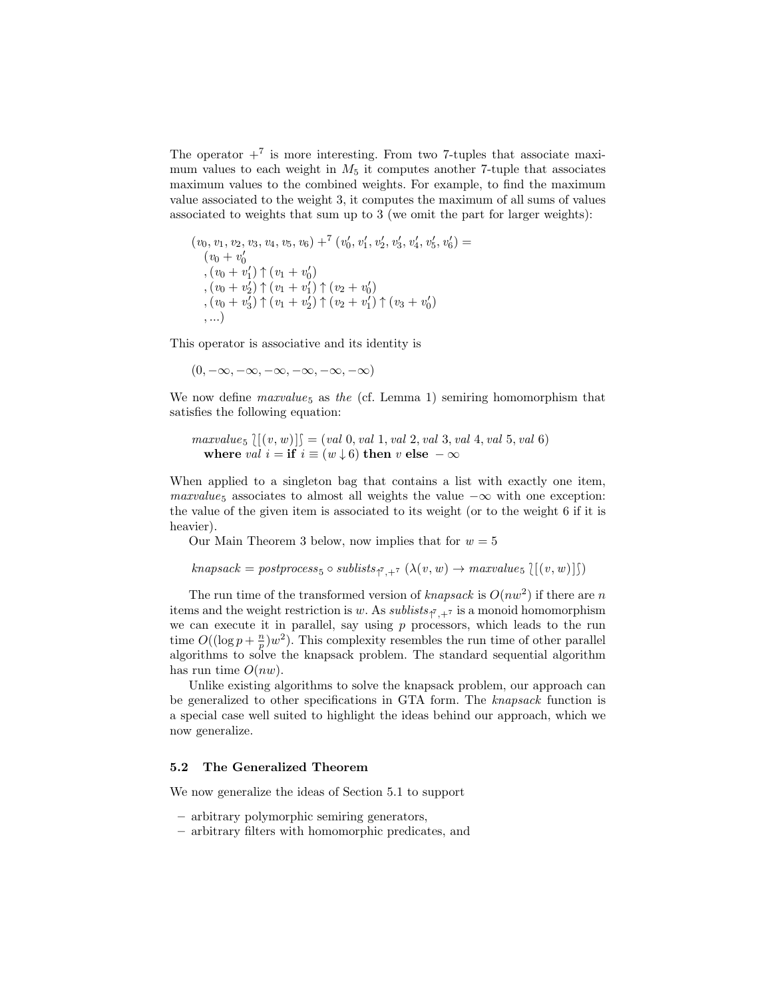The operator  $+^7$  is more interesting. From two 7-tuples that associate maximum values to each weight in  $M_5$  it computes another 7-tuple that associates maximum values to the combined weights. For example, to find the maximum value associated to the weight 3, it computes the maximum of all sums of values associated to weights that sum up to 3 (we omit the part for larger weights):

$$
(v_0, v_1, v_2, v_3, v_4, v_5, v_6) +^7 (v'_0, v'_1, v'_2, v'_3, v'_4, v'_5, v'_6) =
$$
  
\n
$$
(v_0 + v'_0)
$$
  
\n
$$
(v_0 + v'_1) \uparrow (v_1 + v'_0)
$$
  
\n
$$
(v_0 + v'_2) \uparrow (v_1 + v'_1) \uparrow (v_2 + v'_0)
$$
  
\n
$$
(v_0 + v'_3) \uparrow (v_1 + v'_2) \uparrow (v_2 + v'_1) \uparrow (v_3 + v'_0)
$$
  
\n,...)

This operator is associative and its identity is

 $(0, -\infty, -\infty, -\infty, -\infty, -\infty, -\infty)$ 

We now define  $maxvalue_5$  as the (cf. Lemma 1) semiring homomorphism that satisfies the following equation:

 $maxvalue_5$   $[[(v, w)]] = (val\ 0, val\ 1, val\ 2, val\ 3, val\ 4, val\ 5, val\ 6)$ where *val*  $i =$  if  $i \equiv (w \downarrow 6)$  then *v* else  $-\infty$ 

When applied to a singleton bag that contains a list with exactly one item, maxvalue<sub>5</sub> associates to almost all weights the value  $-\infty$  with one exception: the value of the given item is associated to its weight (or to the weight 6 if it is heavier).

Our Main Theorem 3 below, now implies that for  $w = 5$ 

 $knapsack = postprocess_5 \circ sublists_{\uparrow^7, +^7} (\lambda(v, w) \rightarrow maxvalues_5 [[(v, w)]])$ 

The run time of the transformed version of knapsack is  $O(nw^2)$  if there are n items and the weight restriction is w. As  $sublists_{\gamma,+7}$  is a monoid homomorphism we can execute it in parallel, say using  $p$  processors, which leads to the run time  $O((\log p + \frac{n}{p})w^2)$ . This complexity resembles the run time of other parallel algorithms to solve the knapsack problem. The standard sequential algorithm has run time  $O(nw)$ .

Unlike existing algorithms to solve the knapsack problem, our approach can be generalized to other specifications in GTA form. The knapsack function is a special case well suited to highlight the ideas behind our approach, which we now generalize.

#### 5.2 The Generalized Theorem

We now generalize the ideas of Section 5.1 to support

- arbitrary polymorphic semiring generators,
- arbitrary filters with homomorphic predicates, and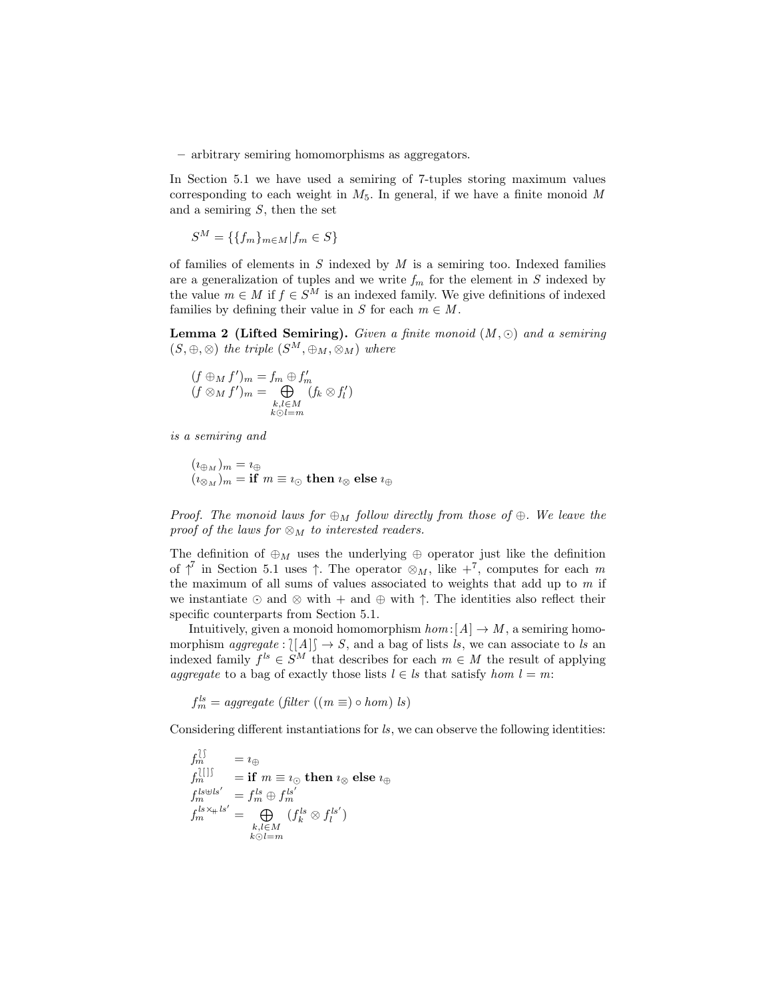– arbitrary semiring homomorphisms as aggregators.

In Section 5.1 we have used a semiring of 7-tuples storing maximum values corresponding to each weight in  $M_5$ . In general, if we have a finite monoid M and a semiring  $S$ , then the set

$$
S^M = \{\{f_m\}_{m \in M} | f_m \in S\}
$$

of families of elements in  $S$  indexed by  $M$  is a semiring too. Indexed families are a generalization of tuples and we write  $f_m$  for the element in S indexed by the value  $m \in M$  if  $f \in S^M$  is an indexed family. We give definitions of indexed families by defining their value in S for each  $m \in M$ .

**Lemma 2 (Lifted Semiring).** Given a finite monoid  $(M, \odot)$  and a semiring  $(S, \oplus, \otimes)$  the triple  $(S^M, \oplus_M, \otimes_M)$  where

$$
(f \oplus_M f')_m = f_m \oplus f'_m
$$
  
\n
$$
(f \otimes_M f')_m = \bigoplus_{\substack{k,l \in M \\ k \odot l = m}} (f_k \otimes f'_l)
$$

is a semiring and

$$
\begin{array}{l} (\imath_{\oplus_M})_m = \imath_\oplus \\ (\imath_{\otimes_M})_m = \textbf{if} \,\, m \equiv \imath_\odot \,\, \textbf{then} \,\, \imath_\otimes \,\, \textbf{else} \,\, \imath_\oplus \,\, \end{array}
$$

Proof. The monoid laws for  $\oplus_M$  follow directly from those of  $\oplus$ . We leave the proof of the laws for  $\otimes_M$  to interested readers.

The definition of  $\oplus_M$  uses the underlying  $\oplus$  operator just like the definition of  $\uparrow^7$  in Section 5.1 uses  $\uparrow$ . The operator  $\otimes_M$ , like  $+^7$ , computes for each m the maximum of all sums of values associated to weights that add up to  $m$  if we instantiate  $\odot$  and  $\otimes$  with  $+$  and  $\oplus$  with  $\uparrow$ . The identities also reflect their specific counterparts from Section 5.1.

Intuitively, given a monoid homomorphism  $hom:[A] \to M$ , a semiring homomorphism aggregate :  $[[A]] \rightarrow S$ , and a bag of lists ls, we can associate to ls an indexed family  $f^{ls} \in S^M$  that describes for each  $m \in M$  the result of applying aggregate to a bag of exactly those lists  $l \in \mathcal{S}$  that satisfy hom  $l = m$ :

 $f_m^{ls} = aggregate \text{ (filter } ((m \equiv) \circ hom) \text{ } ls)$ 

Considering different instantiations for  $\mathfrak{ls}$ , we can observe the following identities:

$$
\begin{array}{ll} f_m^{\{ \}} & = \imath_\oplus \\ f_m^{\{ \}} & = \text{if } m \equiv \imath_\odot \text{ then } \imath_\otimes \text{ else } \imath_\oplus \\ f_m^{\{ \!\!\!\ p \ \!\!\!\}} & = f_m^{\prime\!} \oplus f_m^{\{ \!\!\!\ p \ \!\!\!\}} \\ f_m^{\{ \!\!\!\ p \ \!\!\!\}} & = \bigoplus_{k,l \in M} (f_k^{\{ \!\!\!\ p \ \!\!\!\}} & f_l^{\{ \!\!\!\ p \ \!\!\!\}}' ) \\ f_m^{\{ \!\!\!\ p \ \!\!\!\}} & = \bigoplus_{k,l \in M} (f_k^{\{ \!\!\!\ p \ \!\!\!\}} & f_l^{\{ \!\!\!\ p \ \!\!\!\}}' ) \end{array}
$$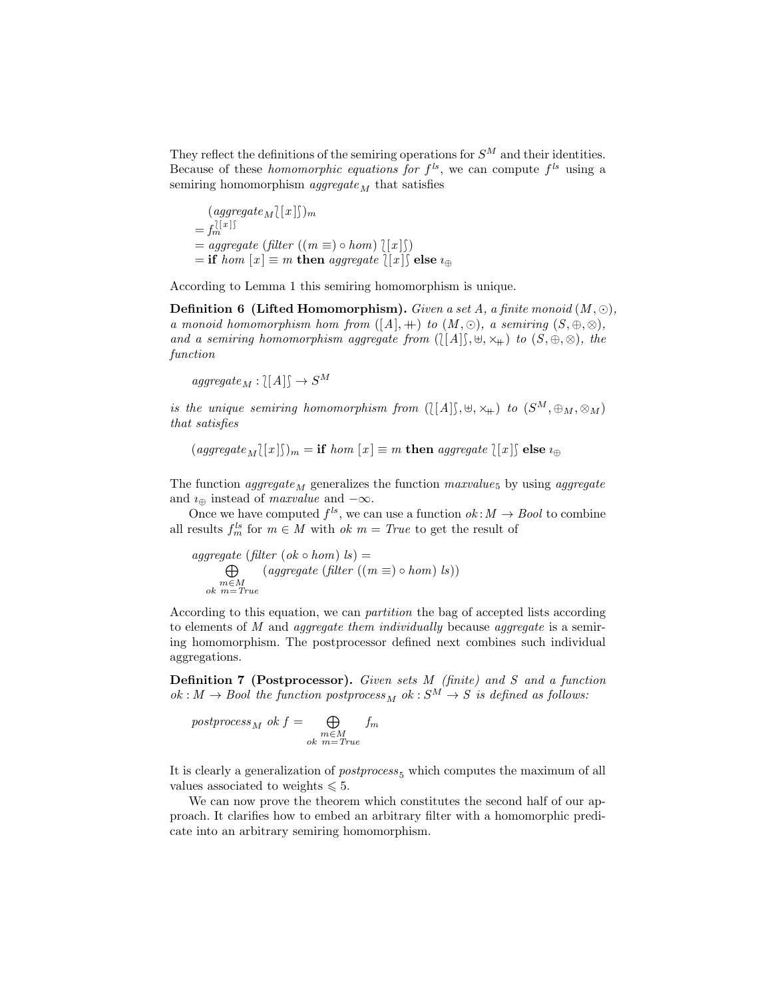They reflect the definitions of the semiring operations for  $S^M$  and their identities. Because of these *homomorphic equations for*  $f^{ls}$ , we can compute  $f^{ls}$  using a semiring homomorphism  $aggregate_M$  that satisfies

 $(aggregate_M[[x]])_m$  $=f_m^{\{x\}\}}$  $= aggregate (filter ((m \equiv) \circ hom) ([x])$  $=$  if hom  $[x] \equiv m$  then aggregate  $x \in \mathbb{R}$  else  $\mathbb{R}$ 

According to Lemma 1 this semiring homomorphism is unique.

**Definition 6** (Lifted Homomorphism). Given a set A, a finite monoid  $(M, \odot)$ . a monoid homomorphism hom from  $([A], +)$  to  $(M, \odot)$ , a semiring  $(S, \oplus, \otimes)$ , and a semiring homomorphism aggregate from  $([A]_1^{\dagger}, \forall, \times_{\mathfrak{m}})$  to  $(S, \oplus, \otimes)$ , the function

aggregate  $_M : [A] \rightarrow S^M$ 

is the unique semiring homomorphism from  $([A]_1^{\dagger}, \forall x, \forall y)$  to  $(S^M, \exists M, \otimes_M)$ that satisfies

 $(aggregate_M[[x]])_m = \textbf{if} hom [x] \equiv m \textbf{ then} aggregate [[x]] \textbf{ else } i_{\oplus}$ 

The function *aggregate* generalizes the function  $maxvalue_5$  by using *aggregate* and  $\iota_{\oplus}$  instead of *maxvalue* and  $-\infty$ .

Once we have computed  $f^{ls}$ , we can use a function  $ok: M \to Bool$  to combine all results  $f_m^{\{s\}}$  for  $m \in M$  with  $ok \in T_{\{s\}}$  rue to get the result of

aggregate (filter (ok  $\circ$  hom) ls) =  $\oplus$ m∈M ok m=True (aggregate (filter  $((m \equiv) \circ hom)$  ls))

According to this equation, we can partition the bag of accepted lists according to elements of M and aggregate them individually because aggregate is a semiring homomorphism. The postprocessor defined next combines such individual aggregations.

**Definition 7 (Postprocessor).** Given sets  $M$  (finite) and  $S$  and a function  $ok : M \to Bool$  the function postprocess  $M \times S^M \to S$  is defined as follows:

$$
postprocess_M \textit{ ok } f = \bigoplus_{\substack{m \in M \\ \textit{ok } m = True}} f_m
$$

It is clearly a generalization of  $postprocess<sub>5</sub>$  which computes the maximum of all values associated to weights  $\leq 5$ .

We can now prove the theorem which constitutes the second half of our approach. It clarifies how to embed an arbitrary filter with a homomorphic predicate into an arbitrary semiring homomorphism.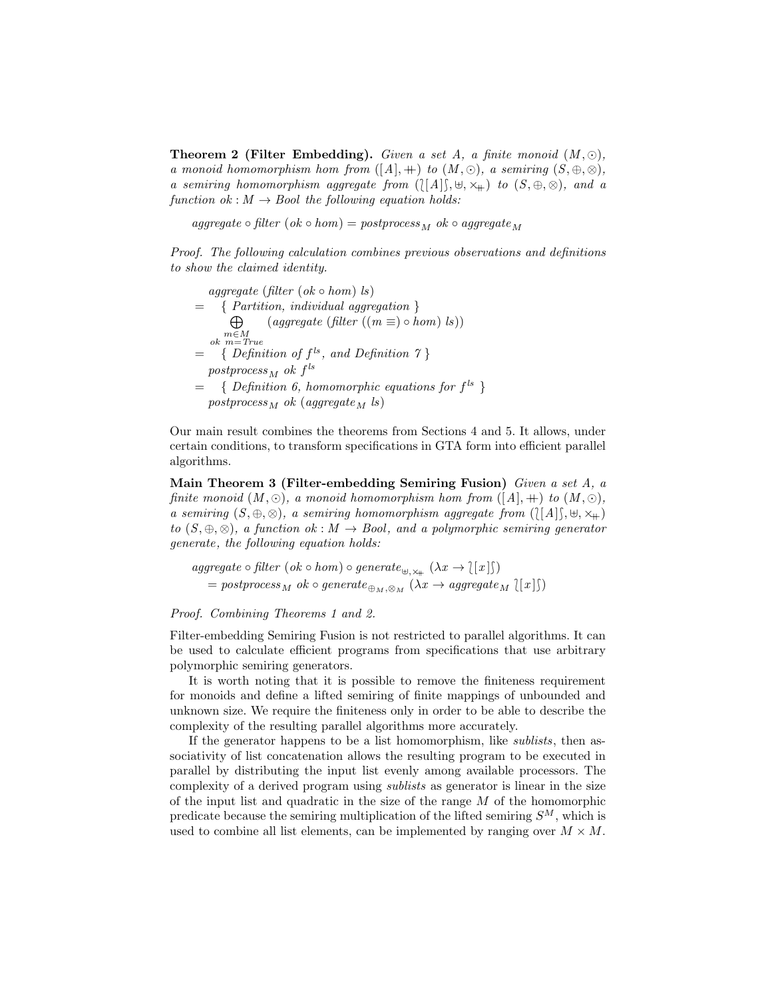**Theorem 2 (Filter Embedding).** Given a set A, a finite monoid  $(M, \odot)$ , a monoid homomorphism hom from  $([A], +)$  to  $(M, \odot)$ , a semiring  $(S, \oplus, \otimes)$ , a semiring homomorphism aggregate from  $([A]_1^{\prime}, \oplus, \times_{\mathbb{H}}^{\mathbb{H}})$  to  $(S, \oplus, \otimes)$ , and a function ok :  $M \to \text{Bool}$  the following equation holds:

aggregate ◦ filter (ok ◦ hom) = postprocess  $_M$  ok ◦ aggregate  $_M$ 

Proof. The following calculation combines previous observations and definitions to show the claimed identity.

aggregate (filter  $(ok \circ hom)$  ls) = { Partition, individual aggregation }  $\oplus$ m∈M ok m=True (aggregate (filter  $((m \equiv) \circ hom)$  ls))  $= \{Definition \ of \ f^{ls}, \ and \ Definition \ 7 \}$  $\mathit{postprocess}_M$  ok  $f^{ls}$  $= \{Definition 6, homomorphic equations for f<sup>ls</sup> \}$ postprocess<sub>M</sub> ok (aggregate<sub>M</sub> ls)

Our main result combines the theorems from Sections 4 and 5. It allows, under certain conditions, to transform specifications in GTA form into efficient parallel algorithms.

Main Theorem 3 (Filter-embedding Semiring Fusion) Given a set A, a finite monoid  $(M, \odot)$ , a monoid homomorphism hom from  $([A], +)$  to  $(M, \odot)$ , a semiring  $(S, \oplus, \otimes)$ , a semiring homomorphism aggregate from  $(|[A|], \oplus, \times)$ to  $(S, \oplus, \otimes)$ , a function ok :  $M \to \text{Bool}$ , and a polymorphic semiring generator generate, the following equation holds:

$$
aggregate \circ filter \ (ok \circ hom) \circ generate_{\forall, \times_{\#}} (\lambda x \to ([x]) )
$$
  
= postprocess<sub>M</sub> ok \circ generate <sub>$\oplus$</sub> <sub>M</sub>, $\otimes$ <sub>M</sub> ( $\lambda x \to aggregate_M$  ([x])

#### Proof. Combining Theorems 1 and 2.

Filter-embedding Semiring Fusion is not restricted to parallel algorithms. It can be used to calculate efficient programs from specifications that use arbitrary polymorphic semiring generators.

It is worth noting that it is possible to remove the finiteness requirement for monoids and define a lifted semiring of finite mappings of unbounded and unknown size. We require the finiteness only in order to be able to describe the complexity of the resulting parallel algorithms more accurately.

If the generator happens to be a list homomorphism, like sublists, then associativity of list concatenation allows the resulting program to be executed in parallel by distributing the input list evenly among available processors. The complexity of a derived program using sublists as generator is linear in the size of the input list and quadratic in the size of the range  $M$  of the homomorphic predicate because the semiring multiplication of the lifted semiring  $S^M$ , which is used to combine all list elements, can be implemented by ranging over  $M \times M$ .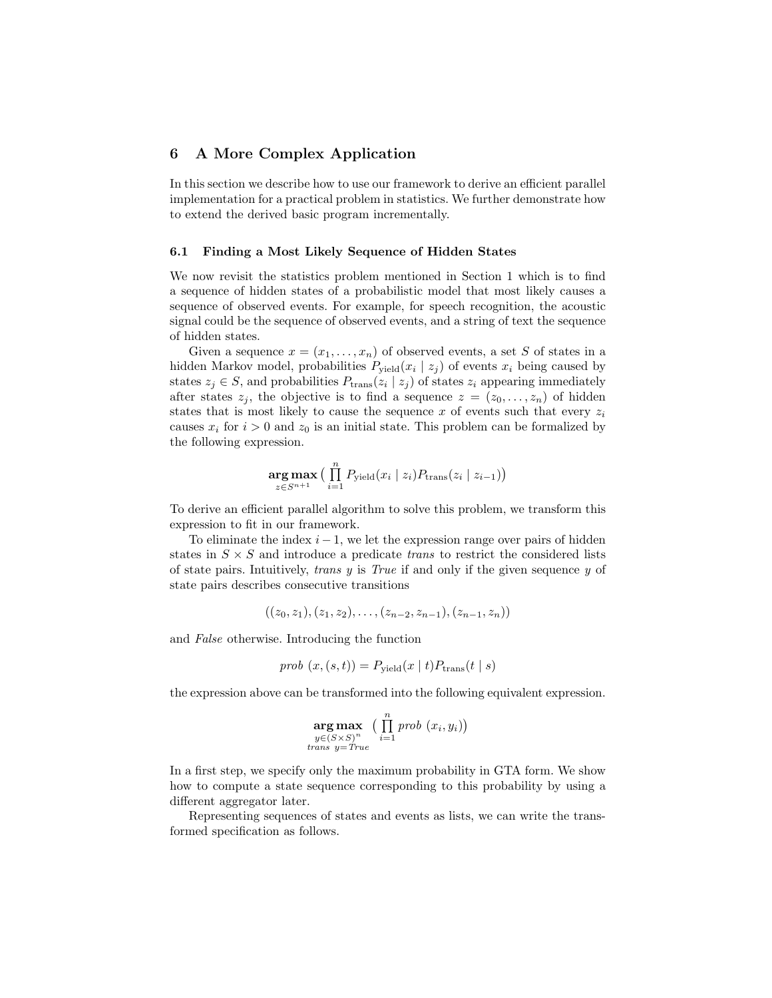### 6 A More Complex Application

In this section we describe how to use our framework to derive an efficient parallel implementation for a practical problem in statistics. We further demonstrate how to extend the derived basic program incrementally.

#### 6.1 Finding a Most Likely Sequence of Hidden States

We now revisit the statistics problem mentioned in Section 1 which is to find a sequence of hidden states of a probabilistic model that most likely causes a sequence of observed events. For example, for speech recognition, the acoustic signal could be the sequence of observed events, and a string of text the sequence of hidden states.

Given a sequence  $x = (x_1, \ldots, x_n)$  of observed events, a set S of states in a hidden Markov model, probabilities  $P_{yield}(x_i | z_j)$  of events  $x_i$  being caused by states  $z_j \in S$ , and probabilities  $P_{trans}(z_i | z_j)$  of states  $z_i$  appearing immediately after states  $z_j$ , the objective is to find a sequence  $z = (z_0, \ldots, z_n)$  of hidden states that is most likely to cause the sequence x of events such that every  $z_i$ causes  $x_i$  for  $i > 0$  and  $z_0$  is an initial state. This problem can be formalized by the following expression.

$$
\underset{z \in S^{n+1}}{\arg \max} \left( \prod_{i=1}^{n} P_{\text{yield}}(x_i \mid z_i) P_{\text{trans}}(z_i \mid z_{i-1}) \right)
$$

To derive an efficient parallel algorithm to solve this problem, we transform this expression to fit in our framework.

To eliminate the index  $i - 1$ , we let the expression range over pairs of hidden states in  $S \times S$  and introduce a predicate trans to restrict the considered lists of state pairs. Intuitively, trans  $y$  is *True* if and only if the given sequence  $y$  of state pairs describes consecutive transitions

$$
((z_0, z_1), (z_1, z_2), \ldots, (z_{n-2}, z_{n-1}), (z_{n-1}, z_n))
$$

and False otherwise. Introducing the function

$$
prob(x, (s,t)) = P_{yield}(x \mid t) P_{trans}(t \mid s)
$$

the expression above can be transformed into the following equivalent expression.

$$
\underset{\substack{y \in (S \times S)^n \\ \text{trans } y = True}}{\arg \max} \left( \prod_{i=1}^n \text{prob}(x_i, y_i) \right)
$$

In a first step, we specify only the maximum probability in GTA form. We show how to compute a state sequence corresponding to this probability by using a different aggregator later.

Representing sequences of states and events as lists, we can write the transformed specification as follows.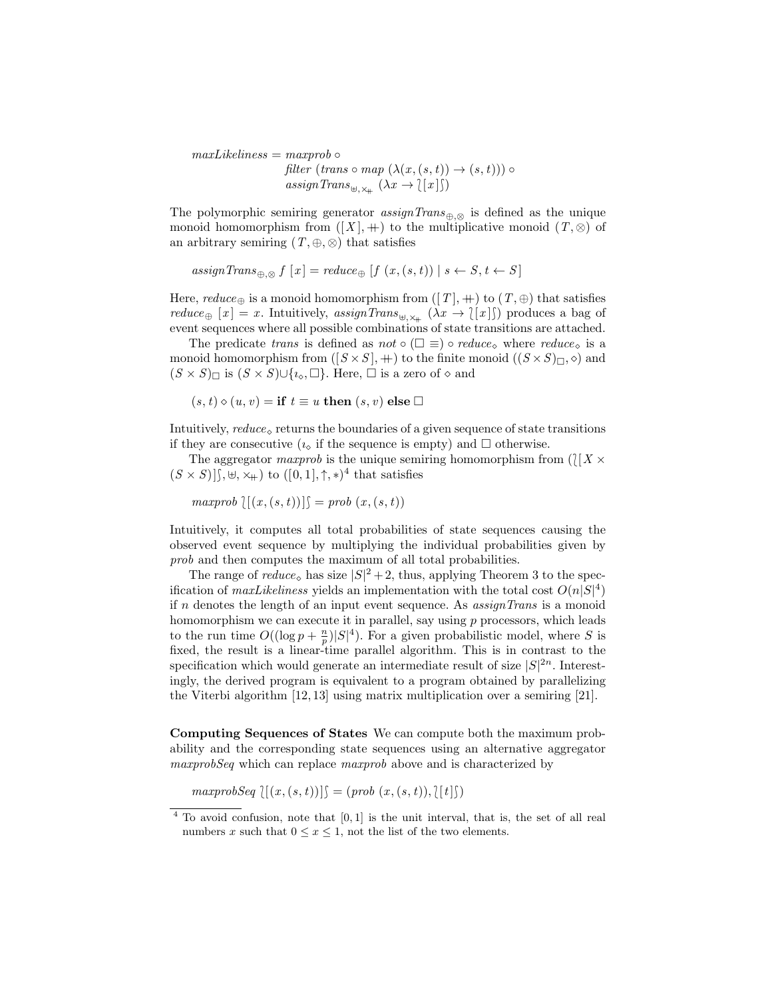$maxLikelines = maxprob \circ$ filter (trans  $\circ$  map  $(\lambda(x, (s,t)) \to (s,t))) \circ$  $\operatorname{assignTrans}_{\forall x, x_{\#}} (\lambda x \to [[x]])$ 

The polymorphic semiring generator  $\operatorname{assignTrans}_{\oplus,\otimes}$  is defined as the unique monoid homomorphism from  $([X], +)$  to the multiplicative monoid  $(T, \otimes)$  of an arbitrary semiring  $(T, \oplus, \otimes)$  that satisfies

$$
assignTrans_{\oplus,\otimes} f [x] = reduce_{\oplus} [f (x, (s, t)) | s \leftarrow S, t \leftarrow S]
$$

Here, reduce<sub>⊕</sub> is a monoid homomorphism from ([T], ++) to (T, ⊕) that satisfies reduce<sub>⊕</sub>  $[x] = x$ . Intuitively, assignTrans<sub> $\psi_1 \times \psi_1 (\lambda x \to \mathbb{R}[x])$  produces a bag of</sub> event sequences where all possible combinations of state transitions are attached.

The predicate trans is defined as not  $\circ$  ( $\Box \equiv$ )  $\circ$  reduce<sub> $\circ$ </sub> where reduce<sub> $\circ$ </sub> is a monoid homomorphism from  $([S \times S], +)$  to the finite monoid  $((S \times S)_{\Box}, \diamond)$  and  $(S \times S)$  is  $(S \times S) \cup \{i_0, \Box\}$ . Here,  $\Box$  is a zero of  $\diamond$  and

 $(s, t) \diamond (u, v) = \textbf{if } t \equiv u \textbf{ then } (s, v) \textbf{ else } \Box$ 

Intuitively,  $reduce_{\diamond}$  returns the boundaries of a given sequence of state transitions if they are consecutive  $(i_{\diamond}$  if the sequence is empty) and  $\square$  otherwise.

The aggregator *maxprob* is the unique semiring homomorphism from  $\left( \right) [X \times$  $(S \times S)$ ] $\}, \forall, \times_{\dagger}$  to  $([0, 1], \uparrow, *)^4$  that satisfies

 $maxprob \; |[(x, (s, t))] \in prob \; (x, (s, t))$ 

Intuitively, it computes all total probabilities of state sequences causing the observed event sequence by multiplying the individual probabilities given by prob and then computes the maximum of all total probabilities.

The range of  $reduce_{\diamond}$  has size  $|S|^2 + 2$ , thus, applying Theorem 3 to the specification of maxLikeliness yields an implementation with the total cost  $O(n|S|^4)$ if n denotes the length of an input event sequence. As  $\textit{assignTrans}$  is a monoid homomorphism we can execute it in parallel, say using  $p$  processors, which leads to the run time  $O((\log p + \frac{n}{p})|S|^4)$ . For a given probabilistic model, where S is fixed, the result is a linear-time parallel algorithm. This is in contrast to the specification which would generate an intermediate result of size  $|S|^{2n}$ . Interestingly, the derived program is equivalent to a program obtained by parallelizing the Viterbi algorithm [12, 13] using matrix multiplication over a semiring [21].

Computing Sequences of States We can compute both the maximum probability and the corresponding state sequences using an alternative aggregator maxprobSeq which can replace maxprob above and is characterized by

 $maxprobSeq$   $\left\{[(x, (s, t))\right]\right\} = (prob(x, (s, t)), \left\{[t]\right\})$ 

 $4$  To avoid confusion, note that  $[0, 1]$  is the unit interval, that is, the set of all real numbers x such that  $0 \le x \le 1$ , not the list of the two elements.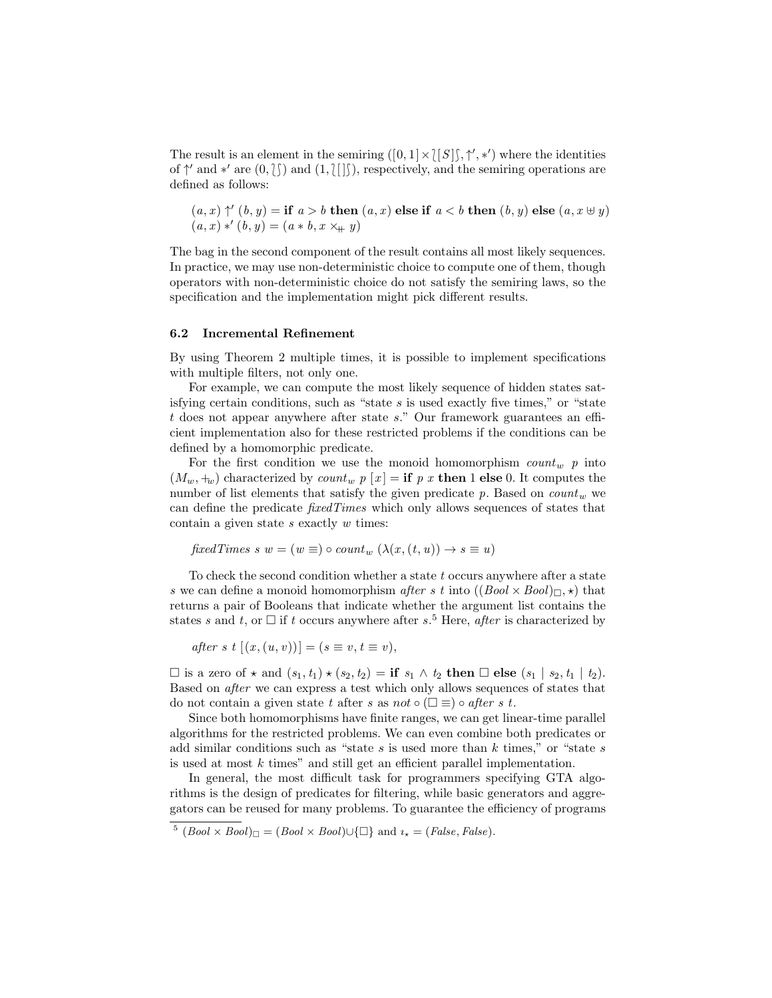The result is an element in the semiring  $([0,1] \times [S])$ ,  $\uparrow', \ast')$  where the identities of  $\uparrow'$  and  $\downarrow'$  are  $(0, 2)$  and  $(1, 2]$ . respectively, and the semiring operations are of  $\uparrow'$  and  $\ast'$  are  $(0, \{\})$  and  $(1, \{\text{]} \})$ , respectively, and the semiring operations are defined as follows:

 $(a, x) \uparrow' (b, y) = \textbf{if } a > b \textbf{ then } (a, x) \textbf{ else if } a < b \textbf{ then } (b, y) \textbf{ else } (a, x \uplus y)$  $(a, x) * (b, y) = (a * b, x \times_{\mathbb{H}} y)$ 

The bag in the second component of the result contains all most likely sequences. In practice, we may use non-deterministic choice to compute one of them, though operators with non-deterministic choice do not satisfy the semiring laws, so the specification and the implementation might pick different results.

#### 6.2 Incremental Refinement

By using Theorem 2 multiple times, it is possible to implement specifications with multiple filters, not only one.

For example, we can compute the most likely sequence of hidden states satisfying certain conditions, such as "state  $s$  is used exactly five times," or "state t does not appear anywhere after state  $s$ ." Our framework guarantees an efficient implementation also for these restricted problems if the conditions can be defined by a homomorphic predicate.

For the first condition we use the monoid homomorphism  $count_w$  p into  $(M_w, +_w)$  characterized by *count<sub>w</sub>*  $p[x] =$  **if**  $p[x]$  then 1 else 0. It computes the number of list elements that satisfy the given predicate  $p$ . Based on  $count_w$  we can define the predicate fixedTimes which only allows sequences of states that contain a given state  $s$  exactly  $w$  times:

$$
fixedTimes \ s \ w = (w \equiv) \circ count_w \ (\lambda(x, (t, u)) \rightarrow s \equiv u)
$$

To check the second condition whether a state  $t$  occurs anywhere after a state s we can define a monoid homomorphism after s t into  $((Bool \times Bool)_{\square}, \star)$  that returns a pair of Booleans that indicate whether the argument list contains the states s and t, or  $\Box$  if t occurs anywhere after s.<sup>5</sup> Here, *after* is characterized by

after s t  $[(x,(u,v))] = (s \equiv v, t \equiv v),$ 

 $□$  is a zero of  $\star$  and  $(s_1, t_1) \star (s_2, t_2) =$  if  $s_1 \wedge t_2$  then  $□$  else  $(s_1 | s_2, t_1 | t_2)$ . Based on after we can express a test which only allows sequences of states that do not contain a given state t after s as not  $\circ$  ( $\Box \equiv$ )  $\circ$  after s t.

Since both homomorphisms have finite ranges, we can get linear-time parallel algorithms for the restricted problems. We can even combine both predicates or add similar conditions such as "state  $s$  is used more than  $k$  times," or "state  $s$ is used at most k times" and still get an efficient parallel implementation.

In general, the most difficult task for programmers specifying GTA algorithms is the design of predicates for filtering, while basic generators and aggregators can be reused for many problems. To guarantee the efficiency of programs

 $^{5}$   $(Bool \times Bool)_{\square} = (Bool \times Bool) \cup {\square}$  and  $i_{\star} = (False, False)$ .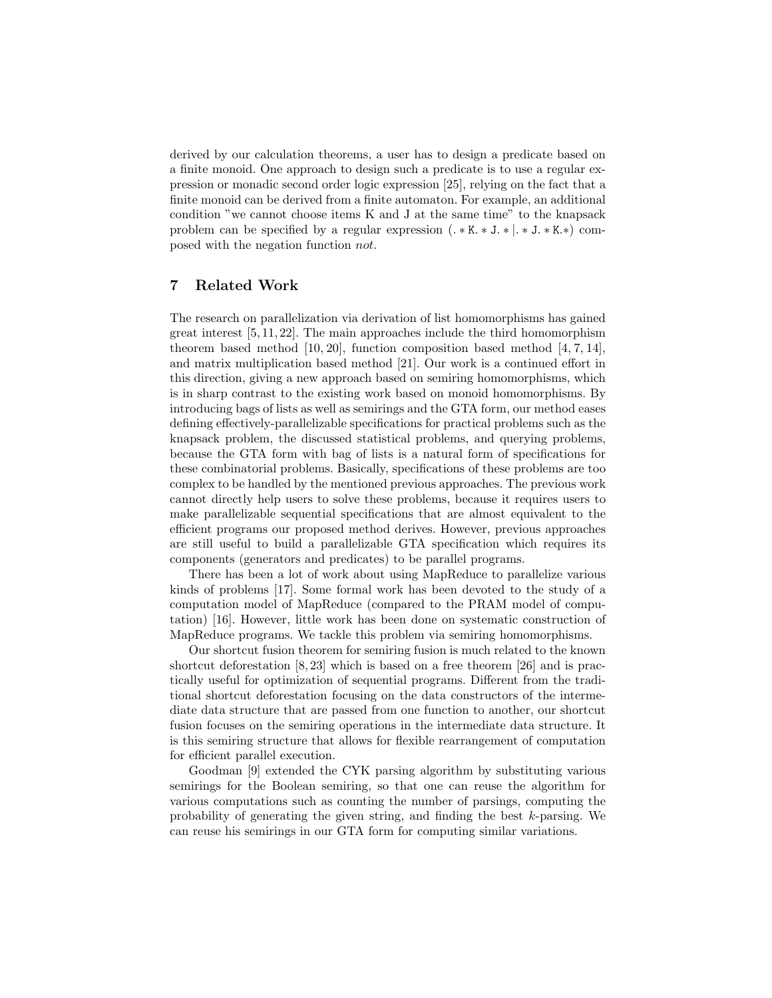derived by our calculation theorems, a user has to design a predicate based on a finite monoid. One approach to design such a predicate is to use a regular expression or monadic second order logic expression [25], relying on the fact that a finite monoid can be derived from a finite automaton. For example, an additional condition "we cannot choose items K and J at the same time" to the knapsack problem can be specified by a regular expression  $(. * K. * J. * L * K. *)$  composed with the negation function not.

# 7 Related Work

The research on parallelization via derivation of list homomorphisms has gained great interest [5, 11, 22]. The main approaches include the third homomorphism theorem based method  $[10, 20]$ , function composition based method  $[4, 7, 14]$ , and matrix multiplication based method [21]. Our work is a continued effort in this direction, giving a new approach based on semiring homomorphisms, which is in sharp contrast to the existing work based on monoid homomorphisms. By introducing bags of lists as well as semirings and the GTA form, our method eases defining effectively-parallelizable specifications for practical problems such as the knapsack problem, the discussed statistical problems, and querying problems, because the GTA form with bag of lists is a natural form of specifications for these combinatorial problems. Basically, specifications of these problems are too complex to be handled by the mentioned previous approaches. The previous work cannot directly help users to solve these problems, because it requires users to make parallelizable sequential specifications that are almost equivalent to the efficient programs our proposed method derives. However, previous approaches are still useful to build a parallelizable GTA specification which requires its components (generators and predicates) to be parallel programs.

There has been a lot of work about using MapReduce to parallelize various kinds of problems [17]. Some formal work has been devoted to the study of a computation model of MapReduce (compared to the PRAM model of computation) [16]. However, little work has been done on systematic construction of MapReduce programs. We tackle this problem via semiring homomorphisms.

Our shortcut fusion theorem for semiring fusion is much related to the known shortcut deforestation [8, 23] which is based on a free theorem [26] and is practically useful for optimization of sequential programs. Different from the traditional shortcut deforestation focusing on the data constructors of the intermediate data structure that are passed from one function to another, our shortcut fusion focuses on the semiring operations in the intermediate data structure. It is this semiring structure that allows for flexible rearrangement of computation for efficient parallel execution.

Goodman [9] extended the CYK parsing algorithm by substituting various semirings for the Boolean semiring, so that one can reuse the algorithm for various computations such as counting the number of parsings, computing the probability of generating the given string, and finding the best k-parsing. We can reuse his semirings in our GTA form for computing similar variations.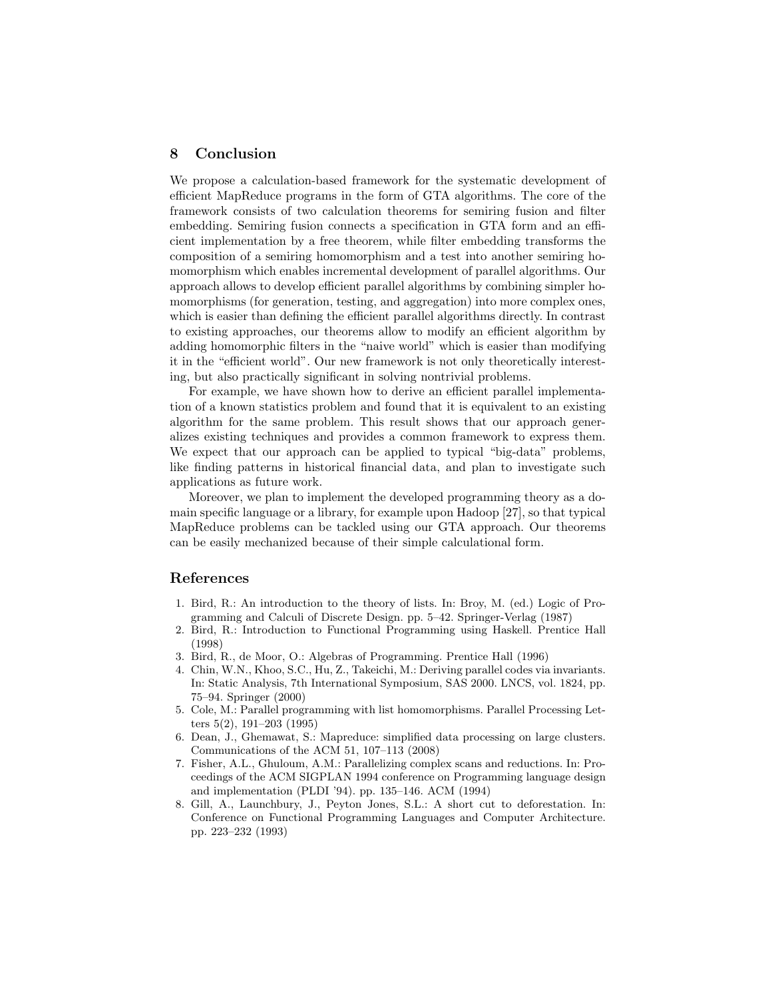# 8 Conclusion

We propose a calculation-based framework for the systematic development of efficient MapReduce programs in the form of GTA algorithms. The core of the framework consists of two calculation theorems for semiring fusion and filter embedding. Semiring fusion connects a specification in GTA form and an efficient implementation by a free theorem, while filter embedding transforms the composition of a semiring homomorphism and a test into another semiring homomorphism which enables incremental development of parallel algorithms. Our approach allows to develop efficient parallel algorithms by combining simpler homomorphisms (for generation, testing, and aggregation) into more complex ones, which is easier than defining the efficient parallel algorithms directly. In contrast to existing approaches, our theorems allow to modify an efficient algorithm by adding homomorphic filters in the "naive world" which is easier than modifying it in the "efficient world". Our new framework is not only theoretically interesting, but also practically significant in solving nontrivial problems.

For example, we have shown how to derive an efficient parallel implementation of a known statistics problem and found that it is equivalent to an existing algorithm for the same problem. This result shows that our approach generalizes existing techniques and provides a common framework to express them. We expect that our approach can be applied to typical "big-data" problems, like finding patterns in historical financial data, and plan to investigate such applications as future work.

Moreover, we plan to implement the developed programming theory as a domain specific language or a library, for example upon Hadoop [27], so that typical MapReduce problems can be tackled using our GTA approach. Our theorems can be easily mechanized because of their simple calculational form.

### References

- 1. Bird, R.: An introduction to the theory of lists. In: Broy, M. (ed.) Logic of Programming and Calculi of Discrete Design. pp. 5–42. Springer-Verlag (1987)
- 2. Bird, R.: Introduction to Functional Programming using Haskell. Prentice Hall (1998)
- 3. Bird, R., de Moor, O.: Algebras of Programming. Prentice Hall (1996)
- 4. Chin, W.N., Khoo, S.C., Hu, Z., Takeichi, M.: Deriving parallel codes via invariants. In: Static Analysis, 7th International Symposium, SAS 2000. LNCS, vol. 1824, pp. 75–94. Springer (2000)
- 5. Cole, M.: Parallel programming with list homomorphisms. Parallel Processing Letters 5(2), 191–203 (1995)
- 6. Dean, J., Ghemawat, S.: Mapreduce: simplified data processing on large clusters. Communications of the ACM 51, 107–113 (2008)
- 7. Fisher, A.L., Ghuloum, A.M.: Parallelizing complex scans and reductions. In: Proceedings of the ACM SIGPLAN 1994 conference on Programming language design and implementation (PLDI '94). pp. 135–146. ACM (1994)
- 8. Gill, A., Launchbury, J., Peyton Jones, S.L.: A short cut to deforestation. In: Conference on Functional Programming Languages and Computer Architecture. pp. 223–232 (1993)